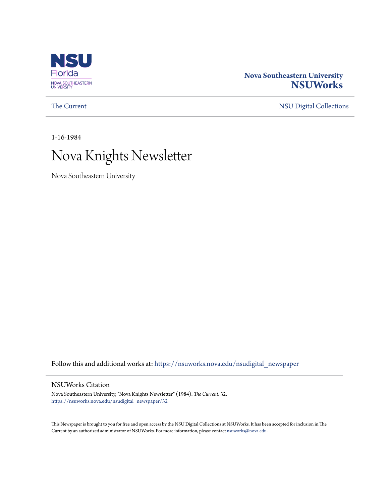

# **Nova Southeastern University [NSUWorks](https://nsuworks.nova.edu?utm_source=nsuworks.nova.edu%2Fnsudigital_newspaper%2F32&utm_medium=PDF&utm_campaign=PDFCoverPages)**

[The Current](https://nsuworks.nova.edu/nsudigital_newspaper?utm_source=nsuworks.nova.edu%2Fnsudigital_newspaper%2F32&utm_medium=PDF&utm_campaign=PDFCoverPages) [NSU Digital Collections](https://nsuworks.nova.edu/nsudigital?utm_source=nsuworks.nova.edu%2Fnsudigital_newspaper%2F32&utm_medium=PDF&utm_campaign=PDFCoverPages)

1-16-1984

# Nova Knights Newsletter

Nova Southeastern University

Follow this and additional works at: [https://nsuworks.nova.edu/nsudigital\\_newspaper](https://nsuworks.nova.edu/nsudigital_newspaper?utm_source=nsuworks.nova.edu%2Fnsudigital_newspaper%2F32&utm_medium=PDF&utm_campaign=PDFCoverPages)

## NSUWorks Citation

Nova Southeastern University, "Nova Knights Newsletter" (1984). *The Current*. 32. [https://nsuworks.nova.edu/nsudigital\\_newspaper/32](https://nsuworks.nova.edu/nsudigital_newspaper/32?utm_source=nsuworks.nova.edu%2Fnsudigital_newspaper%2F32&utm_medium=PDF&utm_campaign=PDFCoverPages)

This Newspaper is brought to you for free and open access by the NSU Digital Collections at NSUWorks. It has been accepted for inclusion in The Current by an authorized administrator of NSUWorks. For more information, please contact [nsuworks@nova.edu.](mailto:nsuworks@nova.edu)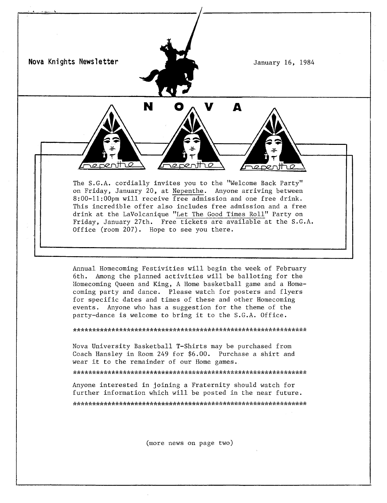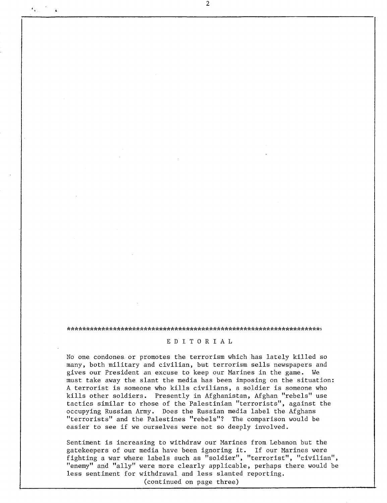#### \*\*\*\*\*\*\*\*\*\*\*\*\*\*\*\*\*\*\*\*\*\*\*\*\*\*\*\*\*\*\*\*\*\*\*\*\*\*\*\*\*\*\*\*\*\*\*\*\*\*\*\*\*\*\*\*\*\*\*\*\*\*\*\*\*\*,

### E D I TOR I A L

No one condones or promotes the terrorism which has lately killed so many, both military and civilian, but terrorism sells newspapers and gives our President an excuse to keep our Marines in the game. We must take away the slant the media has been imposing on the situation: A terrorist is someone who kills civilians, a soldier is someone who kills other soldiers. Presently in Afghanistan, Afghan "rebels" use tactics similar to rhose of the Palestinian "terrorists", against the occupying Russian Army. Does the Russian media label the Afghans "terrorists" and the Palestines "rebels"? The comparison would be easier to see if we ourselves were not so deeply involved.

Sentiment is increasing to withdraw our Marines from Lebanon but the gatekeepers of our media have been ignoring **it.** If our Marines were fighting a war where labels such as "soldier", "terrorist", "civilian", "enemy" and "ally" were more clearly applicable, perhaps there would be less sentiment for withdrawal and less slanted reporting.

(continued on page three)

 $\mathbf{r}_{\alpha}$